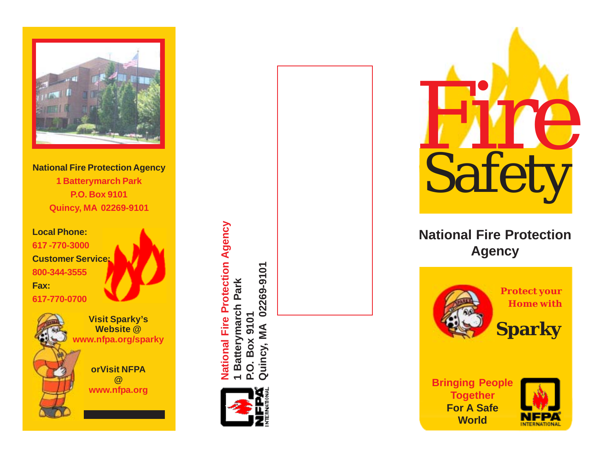

**National Fire Protection Agency 1 Batterymarch Park P.O. Box 9101 Quincy, MA 02269-9101**

**Local Phone: 617 -770-3000 Customer Service: 800-344-3555 Fax:**



**@**

**Website @ www.nfpa.org/sparky orVisit NFPA www.nfpa.org**

National Fire Protection<br>
National Fire Protection<br>
Magency<br>
Visit Sparky's<br>
Website<br>
White and the protect your Home with<br>
White and the protect your Home with<br>
White and the protect your Home with<br>
Sparky<br>
orVisit NFPA<br> **National Fire Protection Agency 1 Batterymarch Park P.O. Box 9101**  $\overline{O}$ 



**Quincy, MA 02269-9101**



## **National Fire Protection Agency**



**Home with**

**Bringing People Together For A Safe World**